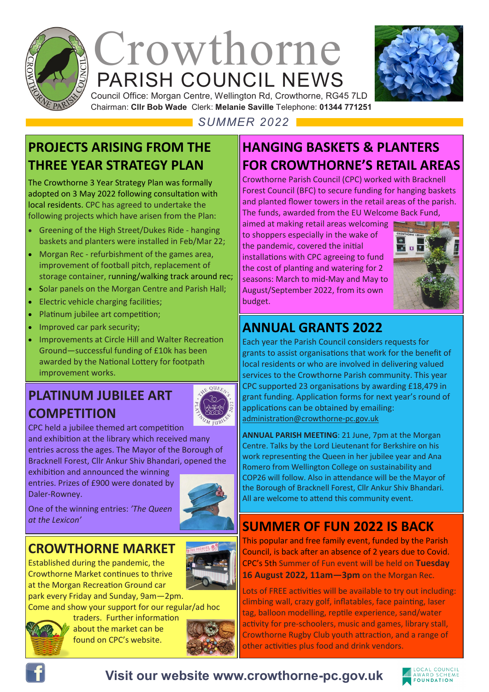

# PARISH COUNCIL NEWS Crowthorne



Council Office: Morgan Centre, Wellington Rd, Crowthorne, RG45 7LD Chairman: **Cllr Bob Wade** Clerk: **Melanie Saville** Telephone: **01344 771251**

*SUMMER 2022*

#### **PROJECTS ARISING FROM THE THREE YEAR STRATEGY PLAN**

The Crowthorne 3 Year Strategy Plan was formally adopted on 3 May 2022 following consultation with local residents. CPC has agreed to undertake the following projects which have arisen from the Plan:

- Greening of the High Street/Dukes Ride hanging baskets and planters were installed in Feb/Mar 22;
- Morgan Rec refurbishment of the games area, improvement of football pitch, replacement of storage container, running/walking track around rec;
- Solar panels on the Morgan Centre and Parish Hall;
- Electric vehicle charging facilities;
- Platinum jubilee art competition;
- Improved car park security;
- Improvements at Circle Hill and Walter Recreation Ground—successful funding of £10k has been awarded by the National Lottery for footpath improvement works.

# **PLATINUM JUBILEE ART COMPETITION**



CPC held a jubilee themed art competition and exhibition at the library which received many entries across the ages. The Mayor of the Borough of Bracknell Forest, Cllr Ankur Shiv Bhandari, opened the

exhibition and announced the winning entries. Prizes of £900 were donated by Daler-Rowney.



#### One of the winning entries: *'The Queen at the Lexicon'*

# **CROWTHORNE MARKET**

Established during the pandemic, the Crowthorne Market continues to thrive at the Morgan Recreation Ground car park every Friday and Sunday, 9am—2pm.

Come and show your support for our regular/ad hoc



traders. Further information about the market can be found on CPC's website.



# **HANGING BASKETS & PLANTERS FOR CROWTHORNE'S RETAIL AREAS**

Crowthorne Parish Council (CPC) worked with Bracknell Forest Council (BFC) to secure funding for hanging baskets and planted flower towers in the retail areas of the parish. The funds, awarded from the EU Welcome Back Fund,

aimed at making retail areas welcoming to shoppers especially in the wake of the pandemic, covered the initial installations with CPC agreeing to fund the cost of planting and watering for 2 seasons: March to mid-May and May to August/September 2022, from its own budget.



# **ANNUAL GRANTS 2022**

Each year the Parish Council considers requests for grants to assist organisations that work for the benefit of local residents or who are involved in delivering valued services to the Crowthorne Parish community. This year CPC supported 23 organisations by awarding £18,479 in grant funding. Application forms for next year's round of applications can be obtained by emailing: administration@crowthorne-pc.gov.uk

**ANNUAL PARISH MEETING**: 21 June, 7pm at the Morgan Centre. Talks by the Lord Lieutenant for Berkshire on his work representing the Queen in her jubilee year and Ana Romero from Wellington College on sustainability and COP26 will follow. Also in attendance will be the Mayor of the Borough of Bracknell Forest, Cllr Ankur Shiv Bhandari. All are welcome to attend this community event.

### **SUMMER OF FUN 2022 IS BACK**

This popular and free family event, funded by the Parish Council, is back after an absence of 2 years due to Covid. CPC's 5th Summer of Fun event will be held on **Tuesday 16 August 2022, 11am—3pm** on the Morgan Rec.

Lots of FREE activities will be available to try out including: climbing wall, crazy golf, inflatables, face painting, laser tag, balloon modelling, reptile experience, sand/water activity for pre-schoolers, music and games, library stall, Crowthorne Rugby Club youth attraction, and a range of other activities plus food and drink vendors.